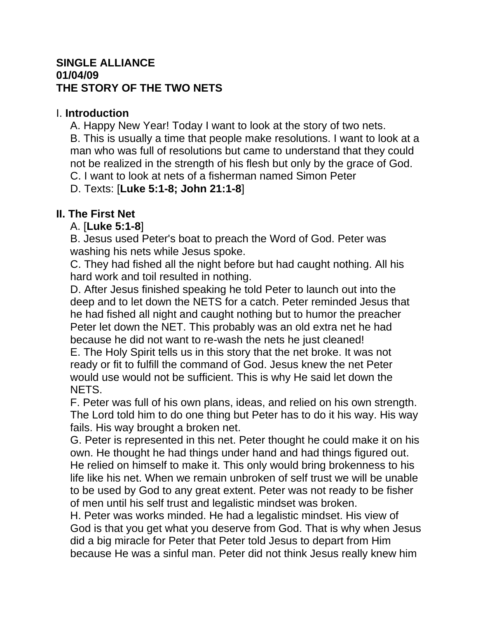#### **SINGLE ALLIANCE 01/04/09 THE STORY OF THE TWO NETS**

#### I. **Introduction**

A. Happy New Year! Today I want to look at the story of two nets. B. This is usually a time that people make resolutions. I want to look at a man who was full of resolutions but came to understand that they could not be realized in the strength of his flesh but only by the grace of God. C. I want to look at nets of a fisherman named Simon Peter

D. Texts: [**Luke 5:1-8; John 21:1-8**]

# **II. The First Net**

# A. [**Luke 5:1-8**]

B. Jesus used Peter's boat to preach the Word of God. Peter was washing his nets while Jesus spoke.

C. They had fished all the night before but had caught nothing. All his hard work and toil resulted in nothing.

D. After Jesus finished speaking he told Peter to launch out into the deep and to let down the NETS for a catch. Peter reminded Jesus that he had fished all night and caught nothing but to humor the preacher Peter let down the NET. This probably was an old extra net he had because he did not want to re-wash the nets he just cleaned!

E. The Holy Spirit tells us in this story that the net broke. It was not ready or fit to fulfill the command of God. Jesus knew the net Peter would use would not be sufficient. This is why He said let down the NETS.

F. Peter was full of his own plans, ideas, and relied on his own strength. The Lord told him to do one thing but Peter has to do it his way. His way fails. His way brought a broken net.

G. Peter is represented in this net. Peter thought he could make it on his own. He thought he had things under hand and had things figured out. He relied on himself to make it. This only would bring brokenness to his life like his net. When we remain unbroken of self trust we will be unable to be used by God to any great extent. Peter was not ready to be fisher of men until his self trust and legalistic mindset was broken.

H. Peter was works minded. He had a legalistic mindset. His view of God is that you get what you deserve from God. That is why when Jesus did a big miracle for Peter that Peter told Jesus to depart from Him because He was a sinful man. Peter did not think Jesus really knew him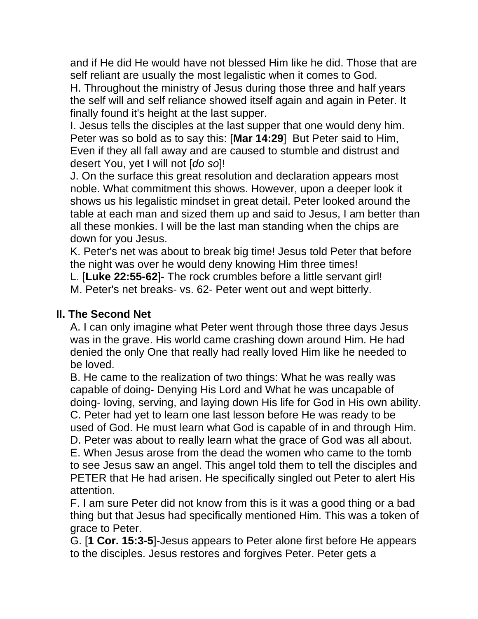and if He did He would have not blessed Him like he did. Those that are self reliant are usually the most legalistic when it comes to God.

H. Throughout the ministry of Jesus during those three and half years the self will and self reliance showed itself again and again in Peter. It finally found it's height at the last supper.

I. Jesus tells the disciples at the last supper that one would deny him. Peter was so bold as to say this: [**Mar 14:29**] But Peter said to Him, Even if they all fall away and are caused to stumble and distrust and desert You, yet I will not [*do so*]!

J. On the surface this great resolution and declaration appears most noble. What commitment this shows. However, upon a deeper look it shows us his legalistic mindset in great detail. Peter looked around the table at each man and sized them up and said to Jesus, I am better than all these monkies. I will be the last man standing when the chips are down for you Jesus.

K. Peter's net was about to break big time! Jesus told Peter that before the night was over he would deny knowing Him three times!

L. [**Luke 22:55-62**]- The rock crumbles before a little servant girl! M. Peter's net breaks- vs. 62- Peter went out and wept bitterly.

#### **II. The Second Net**

A. I can only imagine what Peter went through those three days Jesus was in the grave. His world came crashing down around Him. He had denied the only One that really had really loved Him like he needed to be loved.

B. He came to the realization of two things: What he was really was capable of doing- Denying His Lord and What he was uncapable of doing- loving, serving, and laying down His life for God in His own ability. C. Peter had yet to learn one last lesson before He was ready to be used of God. He must learn what God is capable of in and through Him. D. Peter was about to really learn what the grace of God was all about. E. When Jesus arose from the dead the women who came to the tomb to see Jesus saw an angel. This angel told them to tell the disciples and PETER that He had arisen. He specifically singled out Peter to alert His attention.

F. I am sure Peter did not know from this is it was a good thing or a bad thing but that Jesus had specifically mentioned Him. This was a token of grace to Peter.

G. [**1 Cor. 15:3-5**]-Jesus appears to Peter alone first before He appears to the disciples. Jesus restores and forgives Peter. Peter gets a